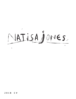NATISA JONES.

#### 2018  $C<sub>Y</sub>$